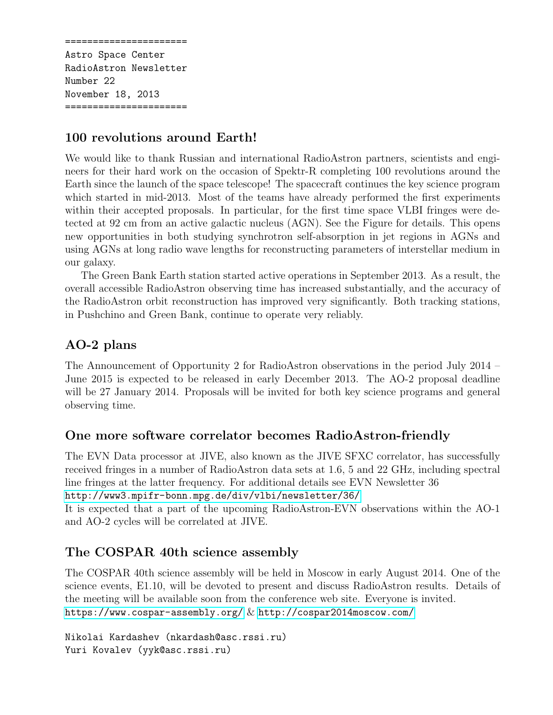====================== Astro Space Center RadioAstron Newsletter Number 22 November 18, 2013 ======================

## 100 revolutions around Earth!

We would like to thank Russian and international RadioAstron partners, scientists and engineers for their hard work on the occasion of Spektr-R completing 100 revolutions around the Earth since the launch of the space telescope! The spacecraft continues the key science program which started in mid-2013. Most of the teams have already performed the first experiments within their accepted proposals. In particular, for the first time space VLBI fringes were detected at 92 cm from an active galactic nucleus (AGN). See the Figure for details. This opens new opportunities in both studying synchrotron self-absorption in jet regions in AGNs and using AGNs at long radio wave lengths for reconstructing parameters of interstellar medium in our galaxy.

The Green Bank Earth station started active operations in September 2013. As a result, the overall accessible RadioAstron observing time has increased substantially, and the accuracy of the RadioAstron orbit reconstruction has improved very significantly. Both tracking stations, in Pushchino and Green Bank, continue to operate very reliably.

## AO-2 plans

The Announcement of Opportunity 2 for RadioAstron observations in the period July 2014 – June 2015 is expected to be released in early December 2013. The AO-2 proposal deadline will be 27 January 2014. Proposals will be invited for both key science programs and general observing time.

## One more software correlator becomes RadioAstron-friendly

The EVN Data processor at JIVE, also known as the JIVE SFXC correlator, has successfully received fringes in a number of RadioAstron data sets at 1.6, 5 and 22 GHz, including spectral line fringes at the latter frequency. For additional details see EVN Newsletter 36

```
http://www3.mpifr-bonn.mpg.de/div/vlbi/newsletter/36/
```
It is expected that a part of the upcoming RadioAstron-EVN observations within the AO-1 and AO-2 cycles will be correlated at JIVE.

## The COSPAR 40th science assembly

The COSPAR 40th science assembly will be held in Moscow in early August 2014. One of the science events, E1.10, will be devoted to present and discuss RadioAstron results. Details of the meeting will be available soon from the conference web site. Everyone is invited. <https://www.cospar-assembly.org/> & <http://cospar2014moscow.com/>

Nikolai Kardashev (nkardash@asc.rssi.ru) Yuri Kovalev (yyk@asc.rssi.ru)